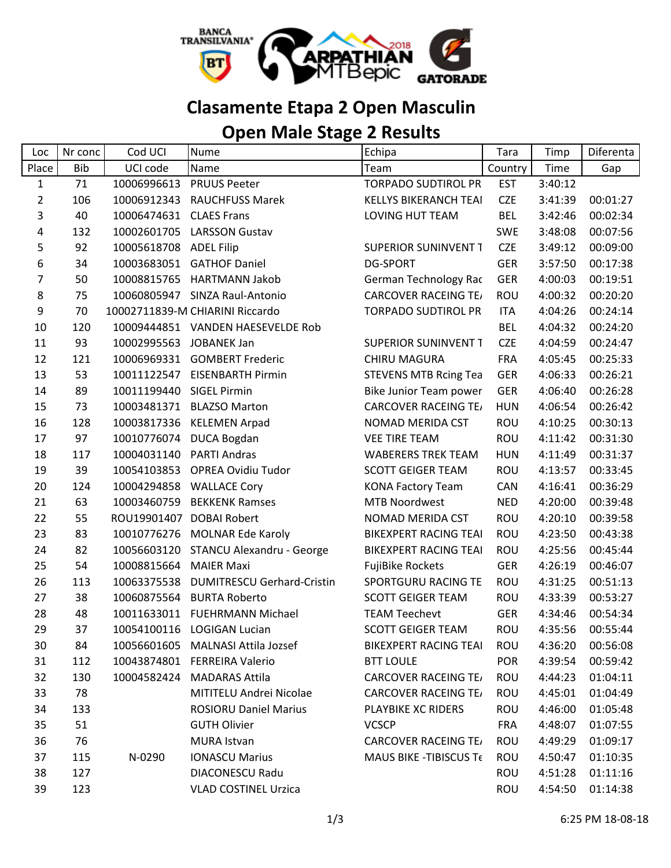

## **Clasamente Etapa 2 Open Masculin**

## **Open Male Stage 2 Results**

| Loc            | Nr conc    | Cod UCI     | <b>Nume</b>                       | Echipa                       | <b>Tara</b> | Timp    | Diferenta |
|----------------|------------|-------------|-----------------------------------|------------------------------|-------------|---------|-----------|
| Place          | <b>Bib</b> | UCI code    | Name                              | Team                         | Country     | Time    | Gap       |
| $\mathbf{1}$   | 71         | 10006996613 | <b>PRUUS Peeter</b>               | <b>TORPADO SUDTIROL PR</b>   | <b>EST</b>  | 3:40:12 |           |
| $\overline{2}$ | 106        | 10006912343 | <b>RAUCHFUSS Marek</b>            | <b>KELLYS BIKERANCH TEAI</b> | <b>CZE</b>  | 3:41:39 | 00:01:27  |
| 3              | 40         | 10006474631 | <b>CLAES Frans</b>                | LOVING HUT TEAM              | <b>BEL</b>  | 3:42:46 | 00:02:34  |
| 4              | 132        | 10002601705 | <b>LARSSON Gustav</b>             |                              | <b>SWE</b>  | 3:48:08 | 00:07:56  |
| 5              | 92         | 10005618708 | <b>ADEL Filip</b>                 | <b>SUPERIOR SUNINVENT T</b>  | <b>CZE</b>  | 3:49:12 | 00:09:00  |
| 6              | 34         | 10003683051 | <b>GATHOF Daniel</b>              | <b>DG-SPORT</b>              | <b>GER</b>  | 3:57:50 | 00:17:38  |
| 7              | 50         | 10008815765 | <b>HARTMANN Jakob</b>             | German Technology Rac        | <b>GER</b>  | 4:00:03 | 00:19:51  |
| 8              | 75         |             | 10060805947 SINZA Raul-Antonio    | <b>CARCOVER RACEING TE/</b>  | ROU         | 4:00:32 | 00:20:20  |
| 9              | 70         |             | 10002711839-M CHIARINI Riccardo   | <b>TORPADO SUDTIROL PR</b>   | <b>ITA</b>  | 4:04:26 | 00:24:14  |
| 10             | 120        |             | 10009444851 VANDEN HAESEVELDE Rob |                              | <b>BEL</b>  | 4:04:32 | 00:24:20  |
| 11             | 93         | 10002995563 | <b>JOBANEK Jan</b>                | <b>SUPERIOR SUNINVENT T</b>  | <b>CZE</b>  | 4:04:59 | 00:24:47  |
| 12             | 121        |             | 10006969331 GOMBERT Frederic      | <b>CHIRU MAGURA</b>          | <b>FRA</b>  | 4:05:45 | 00:25:33  |
| 13             | 53         | 10011122547 | <b>EISENBARTH Pirmin</b>          | <b>STEVENS MTB Rcing Tea</b> | <b>GER</b>  | 4:06:33 | 00:26:21  |
| 14             | 89         | 10011199440 | <b>SIGEL Pirmin</b>               | Bike Junior Team power       | <b>GER</b>  | 4:06:40 | 00:26:28  |
| 15             | 73         | 10003481371 | <b>BLAZSO Marton</b>              | <b>CARCOVER RACEING TE/</b>  | <b>HUN</b>  | 4:06:54 | 00:26:42  |
| 16             | 128        | 10003817336 | <b>KELEMEN Arpad</b>              | NOMAD MERIDA CST             | ROU         | 4:10:25 | 00:30:13  |
| 17             | 97         |             | 10010776074 DUCA Bogdan           | <b>VEE TIRE TEAM</b>         | ROU         | 4:11:42 | 00:31:30  |
| 18             | 117        | 10004031140 | <b>PARTI Andras</b>               | <b>WABERERS TREK TEAM</b>    | <b>HUN</b>  | 4:11:49 | 00:31:37  |
| 19             | 39         | 10054103853 | <b>OPREA Ovidiu Tudor</b>         | <b>SCOTT GEIGER TEAM</b>     | ROU         | 4:13:57 | 00:33:45  |
| 20             | 124        | 10004294858 | <b>WALLACE Cory</b>               | <b>KONA Factory Team</b>     | CAN         | 4:16:41 | 00:36:29  |
| 21             | 63         | 10003460759 | <b>BEKKENK Ramses</b>             | <b>MTB Noordwest</b>         | <b>NED</b>  | 4:20:00 | 00:39:48  |
| 22             | 55         | ROU19901407 | <b>DOBAI Robert</b>               | NOMAD MERIDA CST             | ROU         | 4:20:10 | 00:39:58  |
| 23             | 83         | 10010776276 | <b>MOLNAR Ede Karoly</b>          | <b>BIKEXPERT RACING TEAI</b> | ROU         | 4:23:50 | 00:43:38  |
| 24             | 82         | 10056603120 | STANCU Alexandru - George         | <b>BIKEXPERT RACING TEAI</b> | <b>ROU</b>  | 4:25:56 | 00:45:44  |
| 25             | 54         | 10008815664 | <b>MAIER Maxi</b>                 | <b>FujiBike Rockets</b>      | <b>GER</b>  | 4:26:19 | 00:46:07  |
| 26             | 113        | 10063375538 | <b>DUMITRESCU Gerhard-Cristin</b> | SPORTGURU RACING TE          | ROU         | 4:31:25 | 00:51:13  |
| 27             | 38         | 10060875564 | <b>BURTA Roberto</b>              | <b>SCOTT GEIGER TEAM</b>     | ROU         | 4:33:39 | 00:53:27  |
| 28             | 48         | 10011633011 | <b>FUEHRMANN Michael</b>          | <b>TEAM Teechevt</b>         | <b>GER</b>  | 4:34:46 | 00:54:34  |
| 29             | 37         | 10054100116 | <b>LOGIGAN Lucian</b>             | <b>SCOTT GEIGER TEAM</b>     | <b>ROU</b>  | 4:35:56 | 00:55:44  |
| 30             | 84         |             | 10056601605 MALNASI Attila Jozsef | <b>BIKEXPERT RACING TEAI</b> | <b>ROU</b>  | 4:36:20 | 00:56:08  |
| 31             | 112        |             | 10043874801 FERREIRA Valerio      | <b>BTT LOULE</b>             | <b>POR</b>  | 4:39:54 | 00:59:42  |
| 32             | 130        | 10004582424 | <b>MADARAS Attila</b>             | <b>CARCOVER RACEING TE/</b>  | ROU         | 4:44:23 | 01:04:11  |
| 33             | 78         |             | MITITELU Andrei Nicolae           | <b>CARCOVER RACEING TE/</b>  | <b>ROU</b>  | 4:45:01 | 01:04:49  |
| 34             | 133        |             | <b>ROSIORU Daniel Marius</b>      | PLAYBIKE XC RIDERS           | ROU         | 4:46:00 | 01:05:48  |
| 35             | 51         |             | <b>GUTH Olivier</b>               | <b>VCSCP</b>                 | <b>FRA</b>  | 4:48:07 | 01:07:55  |
| 36             | 76         |             | MURA Istvan                       | <b>CARCOVER RACEING TE/</b>  | ROU         | 4:49:29 | 01:09:17  |
| 37             | 115        | N-0290      | <b>IONASCU Marius</b>             | MAUS BIKE - TIBISCUS Te      | <b>ROU</b>  | 4:50:47 | 01:10:35  |
| 38             | 127        |             | DIACONESCU Radu                   |                              | ROU         | 4:51:28 | 01:11:16  |
| 39             | 123        |             | <b>VLAD COSTINEL Urzica</b>       |                              | ROU         | 4:54:50 | 01:14:38  |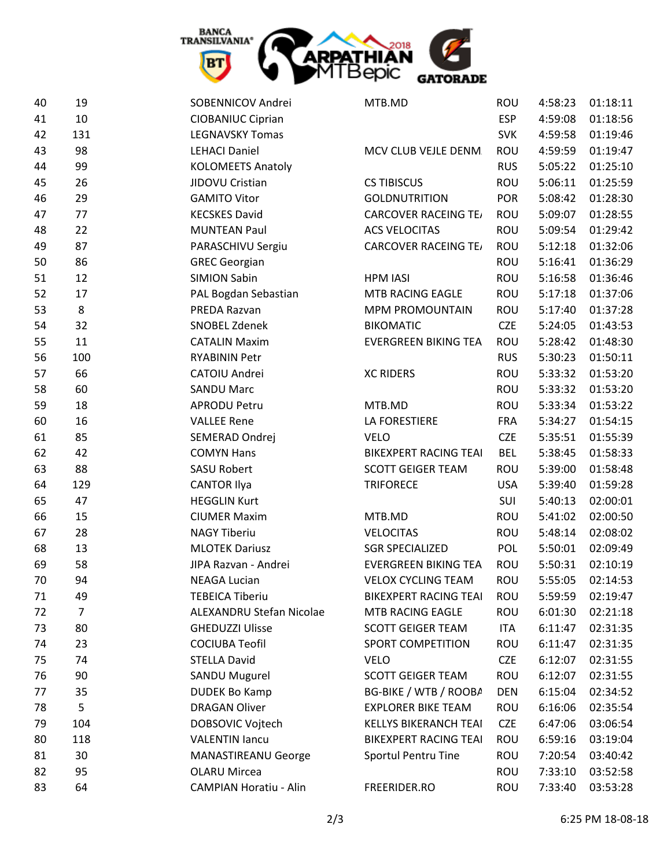

| 40 | 19             | SOBENNICOV Andrei             | MTB.MD                       | <b>ROU</b> | 4:58:23 | 01:18:11 |
|----|----------------|-------------------------------|------------------------------|------------|---------|----------|
| 41 | 10             | <b>CIOBANIUC Ciprian</b>      |                              | <b>ESP</b> | 4:59:08 | 01:18:56 |
| 42 | 131            | <b>LEGNAVSKY Tomas</b>        |                              | <b>SVK</b> | 4:59:58 | 01:19:46 |
| 43 | 98             | <b>LEHACI Daniel</b>          | MCV CLUB VEJLE DENM.         | ROU        | 4:59:59 | 01:19:47 |
| 44 | 99             | <b>KOLOMEETS Anatoly</b>      |                              | <b>RUS</b> | 5:05:22 | 01:25:10 |
| 45 | 26             | JIDOVU Cristian               | <b>CS TIBISCUS</b>           | ROU        | 5:06:11 | 01:25:59 |
| 46 | 29             | <b>GAMITO Vitor</b>           | <b>GOLDNUTRITION</b>         | <b>POR</b> | 5:08:42 | 01:28:30 |
| 47 | 77             | <b>KECSKES David</b>          | <b>CARCOVER RACEING TE/</b>  | ROU        | 5:09:07 | 01:28:55 |
| 48 | 22             | <b>MUNTEAN Paul</b>           | <b>ACS VELOCITAS</b>         | ROU        | 5:09:54 | 01:29:42 |
| 49 | 87             | PARASCHIVU Sergiu             | <b>CARCOVER RACEING TE/</b>  | ROU        | 5:12:18 | 01:32:06 |
| 50 | 86             | <b>GREC Georgian</b>          |                              | ROU        | 5:16:41 | 01:36:29 |
| 51 | 12             | <b>SIMION Sabin</b>           | <b>HPM IASI</b>              | ROU        | 5:16:58 | 01:36:46 |
| 52 | 17             | PAL Bogdan Sebastian          | MTB RACING EAGLE             | ROU        | 5:17:18 | 01:37:06 |
| 53 | 8              | PREDA Razvan                  | MPM PROMOUNTAIN              | ROU        | 5:17:40 | 01:37:28 |
| 54 | 32             | <b>SNOBEL Zdenek</b>          | <b>BIKOMATIC</b>             | <b>CZE</b> | 5:24:05 | 01:43:53 |
| 55 | 11             | <b>CATALIN Maxim</b>          | <b>EVERGREEN BIKING TEA</b>  | ROU        | 5:28:42 | 01:48:30 |
| 56 | 100            | <b>RYABININ Petr</b>          |                              | <b>RUS</b> | 5:30:23 | 01:50:11 |
| 57 | 66             | CATOIU Andrei                 | <b>XC RIDERS</b>             | ROU        | 5:33:32 | 01:53:20 |
| 58 | 60             | <b>SANDU Marc</b>             |                              | ROU        | 5:33:32 | 01:53:20 |
| 59 | 18             | <b>APRODU Petru</b>           | MTB.MD                       | ROU        | 5:33:34 | 01:53:22 |
| 60 | 16             | <b>VALLEE Rene</b>            | LA FORESTIERE                | <b>FRA</b> | 5:34:27 | 01:54:15 |
| 61 | 85             | SEMERAD Ondrej                | <b>VELO</b>                  | <b>CZE</b> | 5:35:51 | 01:55:39 |
| 62 | 42             | <b>COMYN Hans</b>             | <b>BIKEXPERT RACING TEAI</b> | <b>BEL</b> | 5:38:45 | 01:58:33 |
| 63 | 88             | <b>SASU Robert</b>            | <b>SCOTT GEIGER TEAM</b>     | ROU        | 5:39:00 | 01:58:48 |
| 64 | 129            | <b>CANTOR Ilya</b>            | <b>TRIFORECE</b>             | <b>USA</b> | 5:39:40 | 01:59:28 |
| 65 | 47             | <b>HEGGLIN Kurt</b>           |                              | SUI        | 5:40:13 | 02:00:01 |
| 66 | 15             | <b>CIUMER Maxim</b>           | MTB.MD                       | ROU        | 5:41:02 | 02:00:50 |
| 67 | 28             | <b>NAGY Tiberiu</b>           | <b>VELOCITAS</b>             | ROU        | 5:48:14 | 02:08:02 |
| 68 | 13             | <b>MLOTEK Dariusz</b>         | <b>SGR SPECIALIZED</b>       | POL        | 5:50:01 | 02:09:49 |
| 69 | 58             | JIPA Razvan - Andrei          | <b>EVERGREEN BIKING TEA</b>  | ROU        | 5:50:31 | 02:10:19 |
| 70 | 94             | <b>NEAGA Lucian</b>           | <b>VELOX CYCLING TEAM</b>    | ROU        | 5:55:05 | 02:14:53 |
| 71 | 49             | <b>TEBEICA Tiberiu</b>        | <b>BIKEXPERT RACING TEAI</b> | <b>ROU</b> | 5:59:59 | 02:19:47 |
| 72 | $\overline{7}$ | ALEXANDRU Stefan Nicolae      | MTB RACING EAGLE             | ROU        | 6:01:30 | 02:21:18 |
| 73 | 80             | <b>GHEDUZZI Ulisse</b>        | <b>SCOTT GEIGER TEAM</b>     | ITA        | 6:11:47 | 02:31:35 |
| 74 | 23             | <b>COCIUBA Teofil</b>         | <b>SPORT COMPETITION</b>     | ROU        | 6:11:47 | 02:31:35 |
| 75 | 74             | <b>STELLA David</b>           | <b>VELO</b>                  | <b>CZE</b> | 6:12:07 | 02:31:55 |
| 76 | 90             | <b>SANDU Mugurel</b>          | <b>SCOTT GEIGER TEAM</b>     | ROU        | 6:12:07 | 02:31:55 |
| 77 | 35             | <b>DUDEK Bo Kamp</b>          | BG-BIKE / WTB / ROOBA        | <b>DEN</b> | 6:15:04 | 02:34:52 |
| 78 | 5              | <b>DRAGAN Oliver</b>          | <b>EXPLORER BIKE TEAM</b>    | ROU        | 6:16:06 | 02:35:54 |
| 79 | 104            | DOBSOVIC Vojtech              | <b>KELLYS BIKERANCH TEAI</b> | <b>CZE</b> | 6:47:06 | 03:06:54 |
| 80 | 118            | <b>VALENTIN lancu</b>         | <b>BIKEXPERT RACING TEAI</b> | ROU        | 6:59:16 | 03:19:04 |
| 81 | 30             | MANASTIREANU George           | Sportul Pentru Tine          | ROU        | 7:20:54 | 03:40:42 |
| 82 | 95             | <b>OLARU Mircea</b>           |                              | ROU        | 7:33:10 | 03:52:58 |
| 83 | 64             | <b>CAMPIAN Horatiu - Alin</b> | FREERIDER.RO                 | ROU        | 7:33:40 | 03:53:28 |
|    |                |                               |                              |            |         |          |